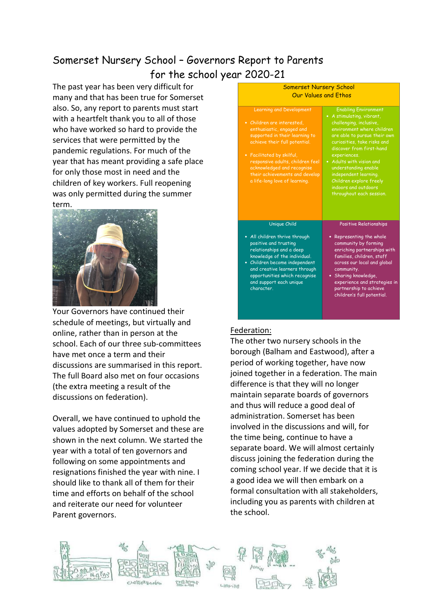# Somerset Nursery School – Governors Report to Parents for the school year 2020-21

The past year has been very difficult for many and that has been true for Somerset also. So, any report to parents must start with a heartfelt thank you to all of those who have worked so hard to provide the services that were permitted by the pandemic regulations. For much of the year that has meant providing a safe place for only those most in need and the children of key workers. Full reopening was only permitted during the summer term.



Your Governors have continued their schedule of meetings, but virtually and online, rather than in person at the school. Each of our three sub-committees have met once a term and their discussions are summarised in this report. The full Board also met on four occasions (the extra meeting a result of the discussions on federation).

Overall, we have continued to uphold the values adopted by Somerset and these are shown in the next column. We started the year with a total of ten governors and following on some appointments and resignations finished the year with nine. I should like to thank all of them for their time and efforts on behalf of the school and reiterate our need for volunteer Parent governors.

| <b>Somerset Nursery School</b>                                                                                                                                                                                                                                                                                                  |                                                                                                                                                                                                                                                                                                                                                                                          |
|---------------------------------------------------------------------------------------------------------------------------------------------------------------------------------------------------------------------------------------------------------------------------------------------------------------------------------|------------------------------------------------------------------------------------------------------------------------------------------------------------------------------------------------------------------------------------------------------------------------------------------------------------------------------------------------------------------------------------------|
| Our Values and Ethos                                                                                                                                                                                                                                                                                                            |                                                                                                                                                                                                                                                                                                                                                                                          |
| <b>Learning and Development</b><br>• Children are interested.<br>enthusiastic, engaged and<br>supported in their learning to<br>achieve their full potential.<br>• Facilitated by skilful,<br>responsive adults, children feel<br>acknowledged and recognise<br>their achievements and develop<br>a life-long love of learning. | <b>Enabling Environment</b><br>• A stimulating, vibrant,<br>challenging, inclusive,<br>environment where children<br>are able to pursue their own<br>curiosities, take risks and<br>discover from first-hand<br>experiences.<br>• Adults with vision and<br>understanding enable<br>independent learning.<br>Children explore freely<br>indoors and outdoors<br>throughout each session. |
| Unique Child<br>• All children thrive through<br>positive and trusting<br>relationships and a deep<br>knowledge of the individual.<br>• Children become independent<br>and creative learners through<br>opportunities which recognise<br>and support each unique<br>character.                                                  | <b>Positive Relationships</b><br>• Representing the whole<br>community by forming<br>enriching partnerships with<br>families, children, staff<br>across our local and global<br>community.<br>• Sharing knowledge,<br>experience and strategies in<br>partnership to achieve<br>children's full potential.                                                                               |

# Federation:

The other two nursery schools in the borough (Balham and Eastwood), after a period of working together, have now joined together in a federation. The main difference is that they will no longer maintain separate boards of governors and thus will reduce a good deal of administration. Somerset has been involved in the discussions and will, for the time being, continue to have a separate board. We will almost certainly discuss joining the federation during the coming school year. If we decide that it is a good idea we will then embark on a formal consultation with all stakeholders, including you as parents with children at the school.